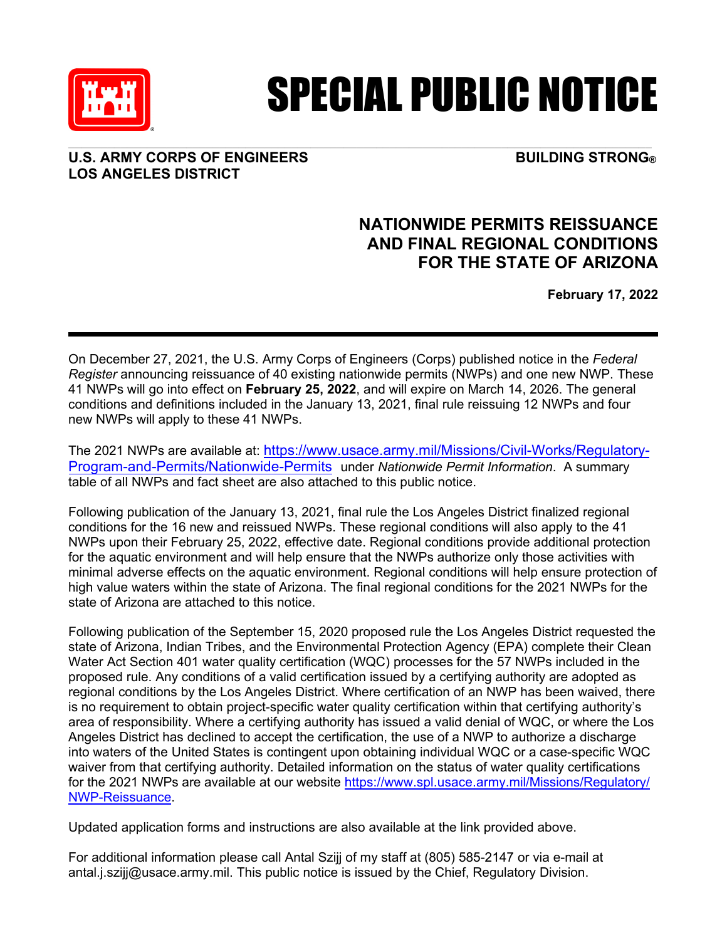

# SPECIAL PUBLIC NOTICE

### **U.S. ARMY CORPS OF ENGINEERS BUILDING STRONG® LOS ANGELES DISTRICT**

## **NATIONWIDE PERMITS REISSUANCE AND FINAL REGIONAL CONDITIONS FOR THE STATE OF ARIZONA**

**February 17, 2022**

On December 27, 2021, the U.S. Army Corps of Engineers (Corps) published notice in the *Federal Register* announcing reissuance of 40 existing nationwide permits (NWPs) and one new NWP. These 41 NWPs will go into effect on **February 25, 2022**, and will expire on March 14, 2026. The general conditions and definitions included in the January 13, 2021, final rule reissuing 12 NWPs and four new NWPs will apply to these 41 NWPs.

The 2021 NWPs are available at: [https://www.usace.army.mil/Missions/Civil-Works/Regulatory-](https://www.usace.army.mil/Missions/Civil-Works/Regulatory-Program-and-Permits/Nationwide-Permits)[Program-and-Permits/Nationwide-Permits](https://www.usace.army.mil/Missions/Civil-Works/Regulatory-Program-and-Permits/Nationwide-Permits) under *Nationwide Permit Information*. A summary table of all NWPs and fact sheet are also attached to this public notice.

Following publication of the January 13, 2021, final rule the Los Angeles District finalized regional conditions for the 16 new and reissued NWPs. These regional conditions will also apply to the 41 NWPs upon their February 25, 2022, effective date. Regional conditions provide additional protection for the aquatic environment and will help ensure that the NWPs authorize only those activities with minimal adverse effects on the aquatic environment. Regional conditions will help ensure protection of high value waters within the state of Arizona. The final regional conditions for the 2021 NWPs for the state of Arizona are attached to this notice.

Following publication of the September 15, 2020 proposed rule the Los Angeles District requested the state of Arizona, Indian Tribes, and the Environmental Protection Agency (EPA) complete their Clean Water Act Section 401 water quality certification (WQC) processes for the 57 NWPs included in the proposed rule. Any conditions of a valid certification issued by a certifying authority are adopted as regional conditions by the Los Angeles District. Where certification of an NWP has been waived, there is no requirement to obtain project-specific water quality certification within that certifying authority's area of responsibility. Where a certifying authority has issued a valid denial of WQC, or where the Los Angeles District has declined to accept the certification, the use of a NWP to authorize a discharge into waters of the United States is contingent upon obtaining individual WQC or a case-specific WQC waiver from that certifying authority. Detailed information on the status of water quality certifications for the 2021 NWPs are available at our website [https://www.spl.usace.army.mil/Missions/Regulatory/](https://www.spl.usace.army.mil/Missions/Regulatory/NWP-Reissuance/) NWP-Reissuance.

Updated application forms and instructions are also available at the link provided above.

For additional information please call Antal Szijj of my staff at (805) 585-2147 or via e-mail at antal.j.szijj@usace.army.mil. This public notice is issued by the Chief, Regulatory Division.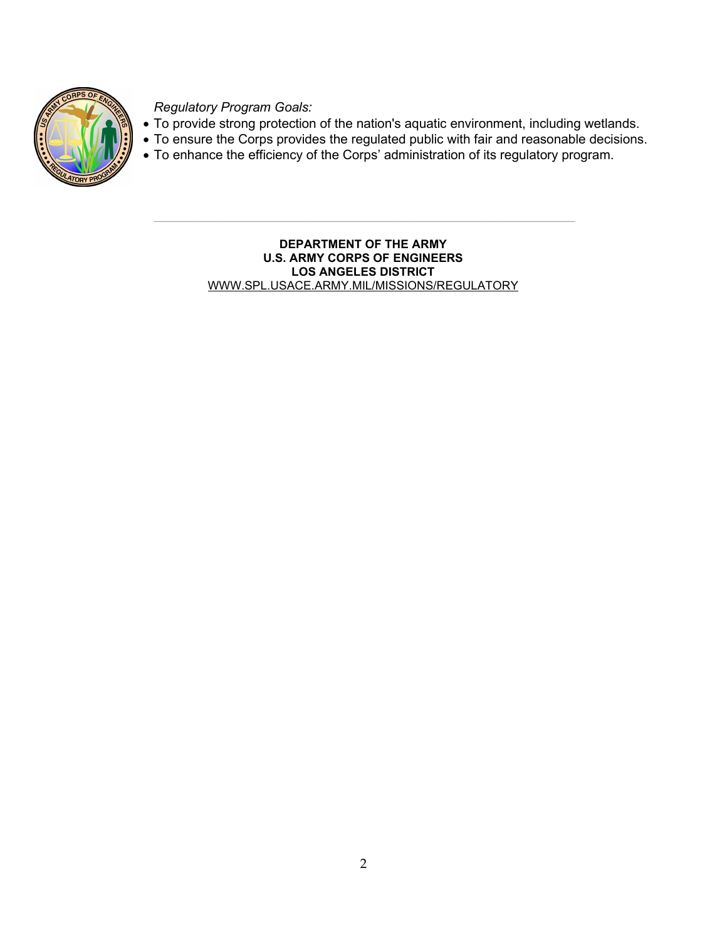

*Regulatory Program Goals:*

- To provide strong protection of the nation's aquatic environment, including wetlands.
- To ensure the Corps provides the regulated public with fair and reasonable decisions.
- To enhance the efficiency of the Corps' administration of its regulatory program.

**DEPARTMENT OF THE ARMY U.S. ARMY CORPS OF ENGINEERS LOS ANGELES DISTRICT** WWW.SPL.USACE.ARMY.MIL/MISSIONS/REGULATORY

 $\mathcal{L}_\text{max}$  and  $\mathcal{L}_\text{max}$  and  $\mathcal{L}_\text{max}$  and  $\mathcal{L}_\text{max}$  and  $\mathcal{L}_\text{max}$  and  $\mathcal{L}_\text{max}$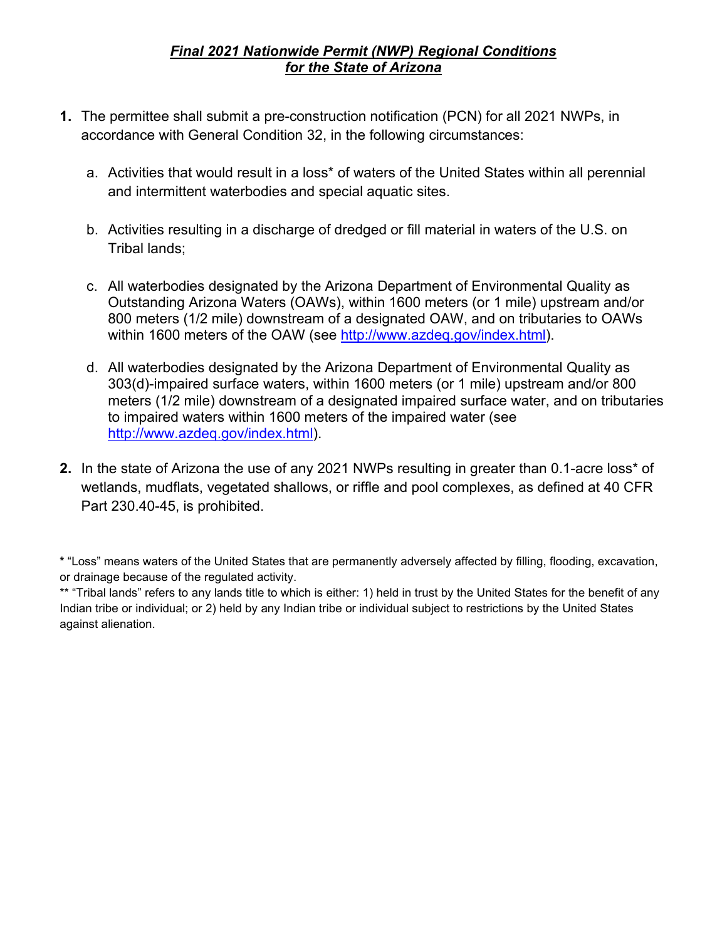### *Final 2021 Nationwide Permit (NWP) Regional Conditions for the State of Arizona*

- **1.** The permittee shall submit a pre-construction notification (PCN) for all 2021 NWPs, in accordance with General Condition 32, in the following circumstances:
	- a. Activities that would result in a loss\* of waters of the United States within all perennial and intermittent waterbodies and special aquatic sites.
	- b. Activities resulting in a discharge of dredged or fill material in waters of the U.S. on Tribal lands;
	- c. All waterbodies designated by the Arizona Department of Environmental Quality as Outstanding Arizona Waters (OAWs), within 1600 meters (or 1 mile) upstream and/or 800 meters (1/2 mile) downstream of a designated OAW, and on tributaries to OAWs within 1600 meters of the OAW (see [http://www.azdeq.gov/index.html\)](http://www.azdeq.gov/index.html).
	- d. All waterbodies designated by the Arizona Department of Environmental Quality as 303(d)-impaired surface waters, within 1600 meters (or 1 mile) upstream and/or 800 meters (1/2 mile) downstream of a designated impaired surface water, and on tributaries to impaired waters within 1600 meters of the impaired water (see [http://www.azdeq.gov/index.html\)](http://www.azdeq.gov/index.html).
- **2.** In the state of Arizona the use of any 2021 NWPs resulting in greater than 0.1-acre loss\* of wetlands, mudflats, vegetated shallows, or riffle and pool complexes, as defined at 40 CFR Part 230.40-45, is prohibited.

**<sup>\*</sup>** "Loss" means waters of the United States that are permanently adversely affected by filling, flooding, excavation, or drainage because of the regulated activity.

<sup>\*\* &</sup>quot;Tribal lands" refers to any lands title to which is either: 1) held in trust by the United States for the benefit of any Indian tribe or individual; or 2) held by any Indian tribe or individual subject to restrictions by the United States against alienation.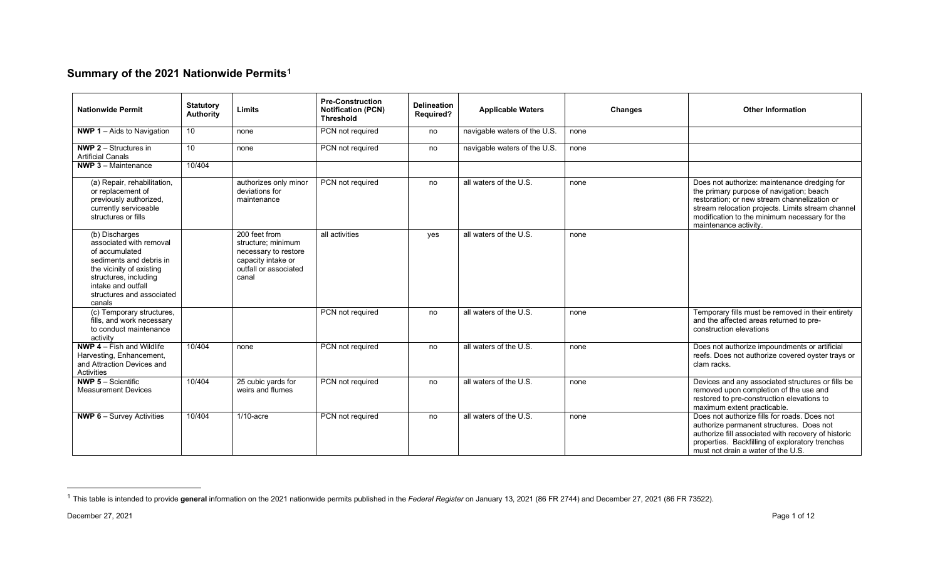### <span id="page-3-0"></span>**Summary of the 2021 Nationwide Permits[1](#page-3-0)**

| <b>Nationwide Permit</b>                                                                                                                                                                                 | <b>Statutory</b><br><b>Authority</b> | Limits                                                                                                              | <b>Pre-Construction</b><br><b>Notification (PCN)</b><br><b>Threshold</b> | <b>Delineation</b><br><b>Required?</b> | <b>Applicable Waters</b>     | <b>Changes</b> | <b>Other Information</b>                                                                                                                                                                                                                                                |
|----------------------------------------------------------------------------------------------------------------------------------------------------------------------------------------------------------|--------------------------------------|---------------------------------------------------------------------------------------------------------------------|--------------------------------------------------------------------------|----------------------------------------|------------------------------|----------------|-------------------------------------------------------------------------------------------------------------------------------------------------------------------------------------------------------------------------------------------------------------------------|
| <b>NWP 1-Aids to Navigation</b>                                                                                                                                                                          | 10                                   | none                                                                                                                | PCN not required                                                         | no                                     | navigable waters of the U.S. | none           |                                                                                                                                                                                                                                                                         |
| <b>NWP 2</b> $-$ Structures in<br><b>Artificial Canals</b>                                                                                                                                               | 10                                   | none                                                                                                                | PCN not required                                                         | no                                     | navigable waters of the U.S. | none           |                                                                                                                                                                                                                                                                         |
| <b>NWP 3</b> $-$ Maintenance                                                                                                                                                                             | 10/404                               |                                                                                                                     |                                                                          |                                        |                              |                |                                                                                                                                                                                                                                                                         |
| (a) Repair, rehabilitation,<br>or replacement of<br>previously authorized,<br>currently serviceable<br>structures or fills                                                                               |                                      | authorizes only minor<br>deviations for<br>maintenance                                                              | PCN not required                                                         | no                                     | all waters of the U.S.       | none           | Does not authorize: maintenance dredging for<br>the primary purpose of navigation; beach<br>restoration; or new stream channelization or<br>stream relocation projects. Limits stream channel<br>modification to the minimum necessary for the<br>maintenance activity. |
| (b) Discharges<br>associated with removal<br>of accumulated<br>sediments and debris in<br>the vicinity of existing<br>structures, including<br>intake and outfall<br>structures and associated<br>canals |                                      | 200 feet from<br>structure; minimum<br>necessary to restore<br>capacity intake or<br>outfall or associated<br>canal | all activities                                                           | yes                                    | all waters of the U.S.       | none           |                                                                                                                                                                                                                                                                         |
| (c) Temporary structures,<br>fills, and work necessary<br>to conduct maintenance<br>activity                                                                                                             |                                      |                                                                                                                     | PCN not required                                                         | no                                     | all waters of the U.S.       | none           | Temporary fills must be removed in their entirety<br>and the affected areas returned to pre-<br>construction elevations                                                                                                                                                 |
| NWP 4 - Fish and Wildlife<br>Harvesting, Enhancement,<br>and Attraction Devices and<br>Activities                                                                                                        | 10/404                               | none                                                                                                                | PCN not required                                                         | no                                     | all waters of the U.S.       | none           | Does not authorize impoundments or artificial<br>reefs. Does not authorize covered oyster trays or<br>clam racks.                                                                                                                                                       |
| <b>NWP 5 - Scientific</b><br><b>Measurement Devices</b>                                                                                                                                                  | 10/404                               | 25 cubic yards for<br>weirs and flumes                                                                              | PCN not required                                                         | no                                     | all waters of the U.S.       | none           | Devices and any associated structures or fills be<br>removed upon completion of the use and<br>restored to pre-construction elevations to<br>maximum extent practicable.                                                                                                |
| <b>NWP 6</b> – Survey Activities                                                                                                                                                                         | 10/404                               | $1/10$ -acre                                                                                                        | PCN not required                                                         | no                                     | all waters of the U.S.       | none           | Does not authorize fills for roads. Does not<br>authorize permanent structures. Does not<br>authorize fill associated with recovery of historic<br>properties. Backfilling of exploratory trenches<br>must not drain a water of the U.S.                                |

<sup>&</sup>lt;sup>1</sup> This table is intended to provide general information on the 2021 nationwide permits published in the Federal Register on January 13, 2021 (86 FR 2744) and December 27, 2021 (86 FR 73522).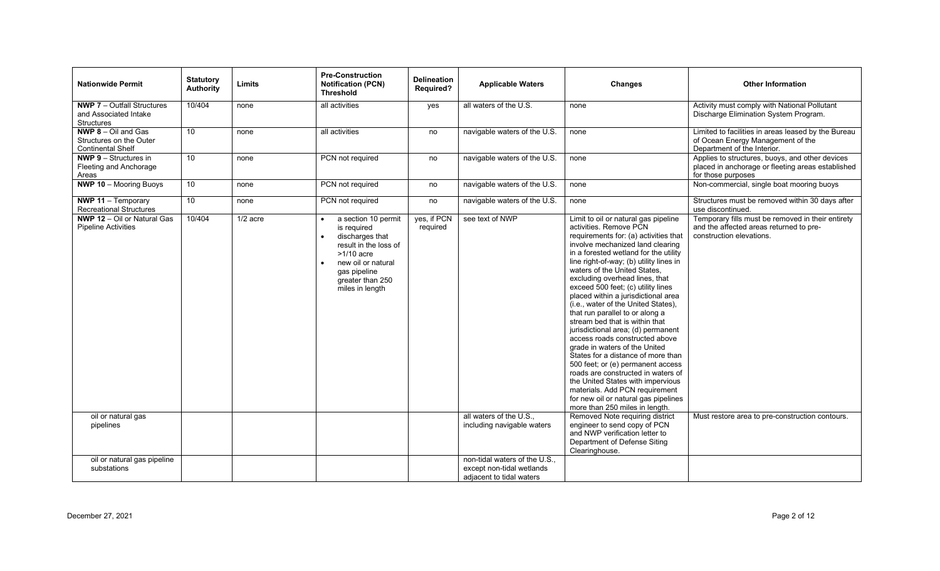| <b>Nationwide Permit</b>                                                            | <b>Statutory</b><br><b>Authority</b> | Limits     | <b>Pre-Construction</b><br><b>Notification (PCN)</b><br><b>Threshold</b>                                                                                                    | <b>Delineation</b><br><b>Required?</b> | <b>Applicable Waters</b>                                                               | <b>Changes</b>                                                                                                                                                                                                                                                                                                                                                                                                                                                                                                                                                                                                                                                                                                                                                                                                                                                        | <b>Other Information</b>                                                                                                   |
|-------------------------------------------------------------------------------------|--------------------------------------|------------|-----------------------------------------------------------------------------------------------------------------------------------------------------------------------------|----------------------------------------|----------------------------------------------------------------------------------------|-----------------------------------------------------------------------------------------------------------------------------------------------------------------------------------------------------------------------------------------------------------------------------------------------------------------------------------------------------------------------------------------------------------------------------------------------------------------------------------------------------------------------------------------------------------------------------------------------------------------------------------------------------------------------------------------------------------------------------------------------------------------------------------------------------------------------------------------------------------------------|----------------------------------------------------------------------------------------------------------------------------|
| <b>NWP 7</b> - Outfall Structures<br>and Associated Intake<br>Structures            | 10/404                               | none       | all activities                                                                                                                                                              | yes                                    | all waters of the U.S.                                                                 | none                                                                                                                                                                                                                                                                                                                                                                                                                                                                                                                                                                                                                                                                                                                                                                                                                                                                  | Activity must comply with National Pollutant<br>Discharge Elimination System Program.                                      |
| <b>NWP 8</b> $-$ Oil and Gas<br>Structures on the Outer<br><b>Continental Shelf</b> | 10                                   | none       | all activities                                                                                                                                                              | no                                     | navigable waters of the U.S.                                                           | none                                                                                                                                                                                                                                                                                                                                                                                                                                                                                                                                                                                                                                                                                                                                                                                                                                                                  | Limited to facilities in areas leased by the Bureau<br>of Ocean Energy Management of the<br>Department of the Interior.    |
| <b>NWP 9 - Structures in</b><br>Fleeting and Anchorage<br>Areas                     | 10                                   | none       | PCN not required                                                                                                                                                            | no                                     | navigable waters of the U.S.                                                           | none                                                                                                                                                                                                                                                                                                                                                                                                                                                                                                                                                                                                                                                                                                                                                                                                                                                                  | Applies to structures, buoys, and other devices<br>placed in anchorage or fleeting areas established<br>for those purposes |
| <b>NWP 10 - Mooring Buoys</b>                                                       | $\overline{10}$                      | none       | PCN not required                                                                                                                                                            | no                                     | navigable waters of the U.S.                                                           | none                                                                                                                                                                                                                                                                                                                                                                                                                                                                                                                                                                                                                                                                                                                                                                                                                                                                  | Non-commercial, single boat mooring buoys                                                                                  |
| <b>NWP 11 - Temporary</b><br><b>Recreational Structures</b>                         | 10                                   | none       | PCN not required                                                                                                                                                            | no                                     | navigable waters of the U.S.                                                           | none                                                                                                                                                                                                                                                                                                                                                                                                                                                                                                                                                                                                                                                                                                                                                                                                                                                                  | Structures must be removed within 30 days after<br>use discontinued.                                                       |
| <b>NWP 12 - Oil or Natural Gas</b><br><b>Pipeline Activities</b>                    | 10/404                               | $1/2$ acre | a section 10 permit<br>is required<br>discharges that<br>result in the loss of<br>$>1/10$ acre<br>new oil or natural<br>gas pipeline<br>greater than 250<br>miles in length | yes, if PCN<br>required                | see text of NWP                                                                        | Limit to oil or natural gas pipeline<br>activities. Remove PCN<br>requirements for: (a) activities that<br>involve mechanized land clearing<br>in a forested wetland for the utility<br>line right-of-way; (b) utility lines in<br>waters of the United States,<br>excluding overhead lines, that<br>exceed 500 feet; (c) utility lines<br>placed within a jurisdictional area<br>(i.e., water of the United States),<br>that run parallel to or along a<br>stream bed that is within that<br>jurisdictional area; (d) permanent<br>access roads constructed above<br>grade in waters of the United<br>States for a distance of more than<br>500 feet; or (e) permanent access<br>roads are constructed in waters of<br>the United States with impervious<br>materials. Add PCN requirement<br>for new oil or natural gas pipelines<br>more than 250 miles in length. | Temporary fills must be removed in their entirety<br>and the affected areas returned to pre-<br>construction elevations.   |
| oil or natural gas<br>pipelines                                                     |                                      |            |                                                                                                                                                                             |                                        | all waters of the U.S.,<br>including navigable waters                                  | Removed Note requiring district<br>engineer to send copy of PCN<br>and NWP verification letter to<br>Department of Defense Siting<br>Clearinghouse.                                                                                                                                                                                                                                                                                                                                                                                                                                                                                                                                                                                                                                                                                                                   | Must restore area to pre-construction contours.                                                                            |
| oil or natural gas pipeline<br>substations                                          |                                      |            |                                                                                                                                                                             |                                        | non-tidal waters of the U.S.,<br>except non-tidal wetlands<br>adjacent to tidal waters |                                                                                                                                                                                                                                                                                                                                                                                                                                                                                                                                                                                                                                                                                                                                                                                                                                                                       |                                                                                                                            |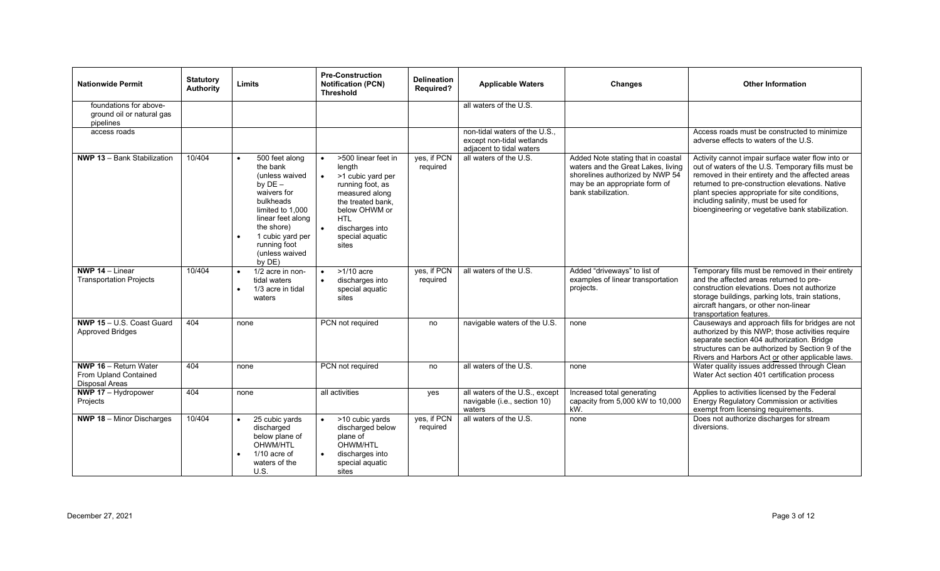| <b>Nationwide Permit</b>                                                       | <b>Statutory</b><br><b>Authority</b> | Limits                                                                                                                                                                                                                    | <b>Pre-Construction</b><br><b>Notification (PCN)</b><br><b>Threshold</b>                                                                                                                                        | <b>Delineation</b><br><b>Required?</b> | <b>Applicable Waters</b>                                                             | Changes                                                                                                                                                             | <b>Other Information</b>                                                                                                                                                                                                                                                                                                                                    |
|--------------------------------------------------------------------------------|--------------------------------------|---------------------------------------------------------------------------------------------------------------------------------------------------------------------------------------------------------------------------|-----------------------------------------------------------------------------------------------------------------------------------------------------------------------------------------------------------------|----------------------------------------|--------------------------------------------------------------------------------------|---------------------------------------------------------------------------------------------------------------------------------------------------------------------|-------------------------------------------------------------------------------------------------------------------------------------------------------------------------------------------------------------------------------------------------------------------------------------------------------------------------------------------------------------|
| foundations for above-<br>ground oil or natural gas<br>pipelines               |                                      |                                                                                                                                                                                                                           |                                                                                                                                                                                                                 |                                        | all waters of the U.S.                                                               |                                                                                                                                                                     |                                                                                                                                                                                                                                                                                                                                                             |
| access roads                                                                   |                                      |                                                                                                                                                                                                                           |                                                                                                                                                                                                                 |                                        | non-tidal waters of the U.S<br>except non-tidal wetlands<br>adjacent to tidal waters |                                                                                                                                                                     | Access roads must be constructed to minimize<br>adverse effects to waters of the U.S.                                                                                                                                                                                                                                                                       |
| NWP 13 - Bank Stabilization                                                    | 10/404                               | 500 feet along<br>$\bullet$<br>the bank<br>(unless waived<br>by $DE -$<br>waivers for<br>bulkheads<br>limited to 1,000<br>linear feet along<br>the shore)<br>1 cubic yard per<br>running foot<br>(unless waived<br>by DE) | >500 linear feet in<br>$\bullet$<br>length<br>>1 cubic yard per<br>$\bullet$<br>running foot, as<br>measured along<br>the treated bank,<br>below OHWM or<br>HTL.<br>discharges into<br>special aquatic<br>sites | yes, if PCN<br>required                | all waters of the U.S.                                                               | Added Note stating that in coastal<br>waters and the Great Lakes, living<br>shorelines authorized by NWP 54<br>may be an appropriate form of<br>bank stabilization. | Activity cannot impair surface water flow into or<br>out of waters of the U.S. Temporary fills must be<br>removed in their entirety and the affected areas<br>returned to pre-construction elevations. Native<br>plant species appropriate for site conditions,<br>including salinity, must be used for<br>bioengineering or vegetative bank stabilization. |
| <b>NWP 14 - Linear</b><br><b>Transportation Projects</b>                       | 10/404                               | 1/2 acre in non-<br>$\bullet$<br>tidal waters<br>1/3 acre in tidal<br>waters                                                                                                                                              | $>1/10$ acre<br>discharges into<br>special aquatic<br>sites                                                                                                                                                     | yes, if PCN<br>required                | all waters of the U.S.                                                               | Added "driveways" to list of<br>examples of linear transportation<br>projects.                                                                                      | Temporary fills must be removed in their entirety<br>and the affected areas returned to pre-<br>construction elevations. Does not authorize<br>storage buildings, parking lots, train stations,<br>aircraft hangars, or other non-linear<br>transportation features.                                                                                        |
| NWP 15 - U.S. Coast Guard<br><b>Approved Bridges</b>                           | 404                                  | none                                                                                                                                                                                                                      | PCN not required                                                                                                                                                                                                | no                                     | navigable waters of the U.S.                                                         | none                                                                                                                                                                | Causeways and approach fills for bridges are not<br>authorized by this NWP; those activities require<br>separate section 404 authorization. Bridge<br>structures can be authorized by Section 9 of the<br>Rivers and Harbors Act or other applicable laws.                                                                                                  |
| <b>NWP 16 - Return Water</b><br>From Upland Contained<br><b>Disposal Areas</b> | 404                                  | none                                                                                                                                                                                                                      | PCN not required                                                                                                                                                                                                | no                                     | all waters of the U.S.                                                               | none                                                                                                                                                                | Water quality issues addressed through Clean<br>Water Act section 401 certification process                                                                                                                                                                                                                                                                 |
| <b>NWP 17</b> $-$ Hydropower<br>Projects                                       | 404                                  | none                                                                                                                                                                                                                      | all activities                                                                                                                                                                                                  | yes                                    | all waters of the U.S., except<br>navigable (i.e., section 10)<br>waters             | Increased total generating<br>capacity from 5,000 kW to 10,000<br>kW.                                                                                               | Applies to activities licensed by the Federal<br>Energy Regulatory Commission or activities<br>exempt from licensing requirements.                                                                                                                                                                                                                          |
| <b>NWP 18 - Minor Discharges</b>                                               | 10/404                               | 25 cubic yards<br>$\bullet$<br>discharged<br>below plane of<br>OHWM/HTL<br>$1/10$ acre of<br>waters of the<br>U.S.                                                                                                        | >10 cubic yards<br>discharged below<br>plane of<br>OHWM/HTL<br>discharges into<br>special aquatic<br>sites                                                                                                      | yes, if PCN<br>required                | all waters of the U.S.                                                               | none                                                                                                                                                                | Does not authorize discharges for stream<br>diversions.                                                                                                                                                                                                                                                                                                     |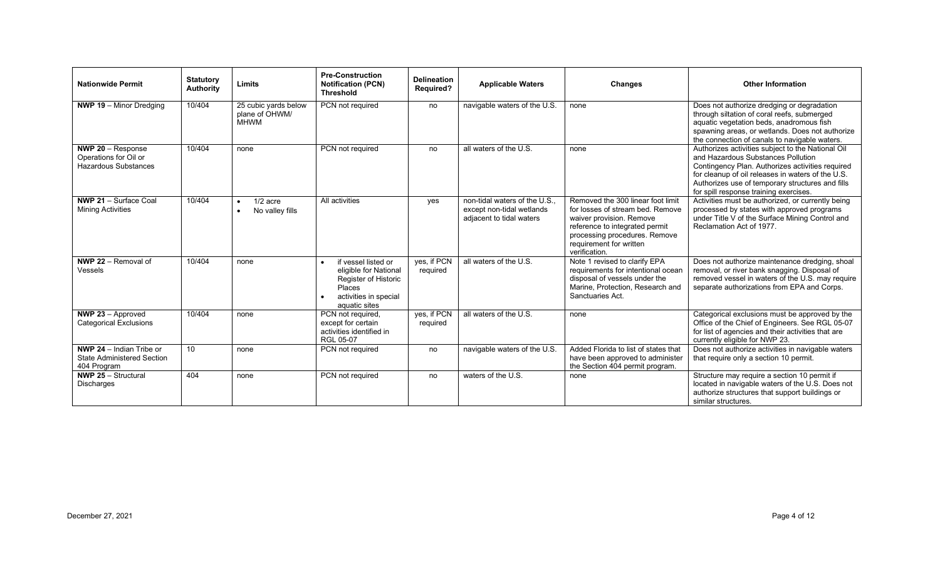| <b>Nationwide Permit</b>                                                              | <b>Statutory</b><br><b>Authority</b> | Limits                                                  | <b>Pre-Construction</b><br><b>Notification (PCN)</b><br><b>Threshold</b>                                                 | <b>Delineation</b><br><b>Required?</b> | <b>Applicable Waters</b>                                                             | <b>Changes</b>                                                                                                                                                                                                   | <b>Other Information</b>                                                                                                                                                                                                                                                                       |
|---------------------------------------------------------------------------------------|--------------------------------------|---------------------------------------------------------|--------------------------------------------------------------------------------------------------------------------------|----------------------------------------|--------------------------------------------------------------------------------------|------------------------------------------------------------------------------------------------------------------------------------------------------------------------------------------------------------------|------------------------------------------------------------------------------------------------------------------------------------------------------------------------------------------------------------------------------------------------------------------------------------------------|
| <b>NWP 19</b> $-$ Minor Dredging                                                      | 10/404                               | 25 cubic yards below<br>plane of OHWM/<br><b>MHWM</b>   | PCN not required                                                                                                         | no                                     | navigable waters of the U.S.                                                         | none                                                                                                                                                                                                             | Does not authorize dredging or degradation<br>through siltation of coral reefs, submerged<br>aquatic vegetation beds, anadromous fish<br>spawning areas, or wetlands. Does not authorize<br>the connection of canals to navigable waters.                                                      |
| <b>NWP 20</b> $-$ Response<br>Operations for Oil or<br><b>Hazardous Substances</b>    | 10/404                               | none                                                    | PCN not required                                                                                                         | no                                     | all waters of the U.S.                                                               | none                                                                                                                                                                                                             | Authorizes activities subject to the National Oil<br>and Hazardous Substances Pollution<br>Contingency Plan. Authorizes activities required<br>for cleanup of oil releases in waters of the U.S.<br>Authorizes use of temporary structures and fills<br>for spill response training exercises. |
| NWP 21 - Surface Coal<br><b>Mining Activities</b>                                     | 10/404                               | $1/2$ acre<br>$\bullet$<br>No valley fills<br>$\bullet$ | All activities                                                                                                           | yes                                    | non-tidal waters of the U.S<br>except non-tidal wetlands<br>adjacent to tidal waters | Removed the 300 linear foot limit<br>for losses of stream bed. Remove<br>waiver provision. Remove<br>reference to integrated permit<br>processing procedures. Remove<br>requirement for written<br>verification. | Activities must be authorized, or currently being<br>processed by states with approved programs<br>under Title V of the Surface Mining Control and<br>Reclamation Act of 1977.                                                                                                                 |
| NWP 22 - Removal of<br>Vessels                                                        | 10/404                               | none                                                    | if vessel listed or<br>eligible for National<br>Register of Historic<br>Places<br>activities in special<br>aquatic sites | ves. if PCN<br>required                | all waters of the U.S.                                                               | Note 1 revised to clarify EPA<br>requirements for intentional ocean<br>disposal of vessels under the<br>Marine, Protection, Research and<br>Sanctuaries Act.                                                     | Does not authorize maintenance dredging, shoal<br>removal, or river bank snagging. Disposal of<br>removed vessel in waters of the U.S. may require<br>separate authorizations from EPA and Corps.                                                                                              |
| <b>NWP 23</b> $-$ Approved<br><b>Categorical Exclusions</b>                           | 10/404                               | none                                                    | PCN not required,<br>except for certain<br>activities identified in<br>RGL 05-07                                         | yes, if PCN<br>required                | all waters of the U.S.                                                               | none                                                                                                                                                                                                             | Categorical exclusions must be approved by the<br>Office of the Chief of Engineers. See RGL 05-07<br>for list of agencies and their activities that are<br>currently eligible for NWP 23.                                                                                                      |
| <b>NWP 24</b> $-$ Indian Tribe or<br><b>State Administered Section</b><br>404 Program | 10 <sup>10</sup>                     | none                                                    | PCN not required                                                                                                         | no                                     | navigable waters of the U.S.                                                         | Added Florida to list of states that<br>have been approved to administer<br>the Section 404 permit program.                                                                                                      | Does not authorize activities in navigable waters<br>that require only a section 10 permit.                                                                                                                                                                                                    |
| <b>NWP 25 - Structural</b><br><b>Discharges</b>                                       | 404                                  | none                                                    | PCN not required                                                                                                         | no                                     | waters of the U.S.                                                                   | none                                                                                                                                                                                                             | Structure may require a section 10 permit if<br>located in navigable waters of the U.S. Does not<br>authorize structures that support buildings or<br>similar structures.                                                                                                                      |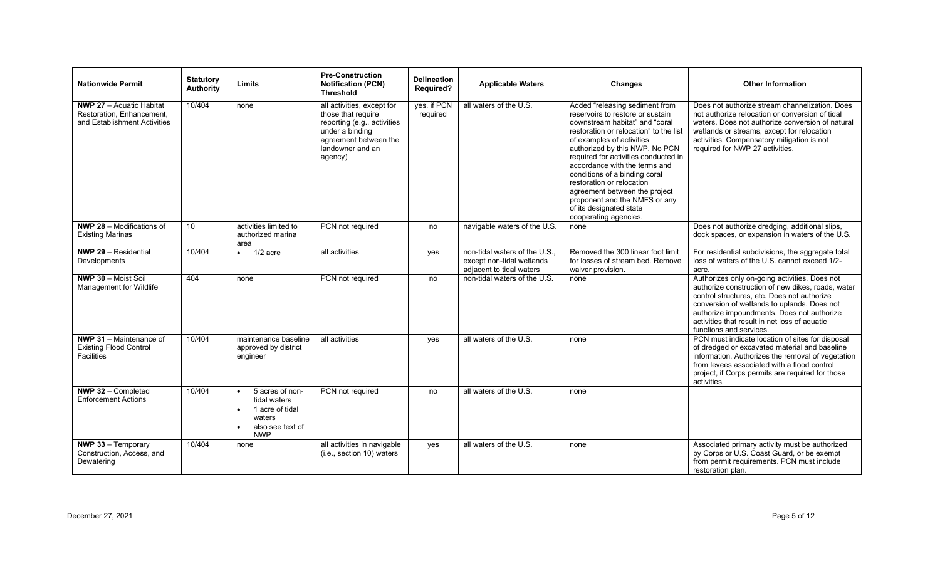| <b>Nationwide Permit</b>                                                                     | <b>Statutory</b><br><b>Authority</b> | Limits                                                                                         | <b>Pre-Construction</b><br><b>Notification (PCN)</b><br><b>Threshold</b>                                                                                   | <b>Delineation</b><br>Required? | <b>Applicable Waters</b>                                                             | Changes                                                                                                                                                                                                                                                                                                                                                                                                                                                                    | <b>Other Information</b>                                                                                                                                                                                                                                                                                                   |
|----------------------------------------------------------------------------------------------|--------------------------------------|------------------------------------------------------------------------------------------------|------------------------------------------------------------------------------------------------------------------------------------------------------------|---------------------------------|--------------------------------------------------------------------------------------|----------------------------------------------------------------------------------------------------------------------------------------------------------------------------------------------------------------------------------------------------------------------------------------------------------------------------------------------------------------------------------------------------------------------------------------------------------------------------|----------------------------------------------------------------------------------------------------------------------------------------------------------------------------------------------------------------------------------------------------------------------------------------------------------------------------|
| <b>NWP 27</b> - Aquatic Habitat<br>Restoration, Enhancement,<br>and Establishment Activities | 10/404                               | none                                                                                           | all activities, except for<br>those that require<br>reporting (e.g., activities<br>under a binding<br>agreement between the<br>landowner and an<br>agency) | yes, if PCN<br>required         | all waters of the U.S.                                                               | Added "releasing sediment from<br>reservoirs to restore or sustain<br>downstream habitat" and "coral<br>restoration or relocation" to the list<br>of examples of activities<br>authorized by this NWP. No PCN<br>required for activities conducted in<br>accordance with the terms and<br>conditions of a binding coral<br>restoration or relocation<br>agreement between the project<br>proponent and the NMFS or any<br>of its designated state<br>cooperating agencies. | Does not authorize stream channelization. Does<br>not authorize relocation or conversion of tidal<br>waters. Does not authorize conversion of natural<br>wetlands or streams, except for relocation<br>activities. Compensatory mitigation is not<br>required for NWP 27 activities.                                       |
| <b>NWP 28 - Modifications of</b><br><b>Existing Marinas</b>                                  | 10                                   | activities limited to<br>authorized marina<br>area                                             | PCN not required                                                                                                                                           | no                              | navigable waters of the U.S.                                                         | none                                                                                                                                                                                                                                                                                                                                                                                                                                                                       | Does not authorize dredging, additional slips,<br>dock spaces, or expansion in waters of the U.S.                                                                                                                                                                                                                          |
| NWP 29 - Residential<br>Developments                                                         | 10/404                               | $1/2$ acre                                                                                     | all activities                                                                                                                                             | yes                             | non-tidal waters of the U.S<br>except non-tidal wetlands<br>adjacent to tidal waters | Removed the 300 linear foot limit<br>for losses of stream bed. Remove<br>waiver provision.                                                                                                                                                                                                                                                                                                                                                                                 | For residential subdivisions, the aggregate total<br>loss of waters of the U.S. cannot exceed 1/2-<br>acre.                                                                                                                                                                                                                |
| NWP 30 - Moist Soil<br>Management for Wildlife                                               | 404                                  | none                                                                                           | PCN not required                                                                                                                                           | no                              | non-tidal waters of the U.S.                                                         | none                                                                                                                                                                                                                                                                                                                                                                                                                                                                       | Authorizes only on-going activities. Does not<br>authorize construction of new dikes, roads, water<br>control structures, etc. Does not authorize<br>conversion of wetlands to uplands. Does not<br>authorize impoundments. Does not authorize<br>activities that result in net loss of aquatic<br>functions and services. |
| NWP 31 - Maintenance of<br><b>Existing Flood Control</b><br><b>Facilities</b>                | 10/404                               | maintenance baseline<br>approved by district<br>engineer                                       | all activities                                                                                                                                             | yes                             | all waters of the U.S.                                                               | none                                                                                                                                                                                                                                                                                                                                                                                                                                                                       | PCN must indicate location of sites for disposal<br>of dredged or excavated material and baseline<br>information. Authorizes the removal of vegetation<br>from levees associated with a flood control<br>project, if Corps permits are required for those<br>activities.                                                   |
| NWP 32 - Completed<br><b>Enforcement Actions</b>                                             | 10/404                               | 5 acres of non-<br>tidal waters<br>1 acre of tidal<br>waters<br>also see text of<br><b>NWP</b> | PCN not required                                                                                                                                           | no                              | all waters of the U.S.                                                               | none                                                                                                                                                                                                                                                                                                                                                                                                                                                                       |                                                                                                                                                                                                                                                                                                                            |
| NWP 33 - Temporary<br>Construction, Access, and<br>Dewatering                                | 10/404                               | none                                                                                           | all activities in navigable<br>(i.e., section 10) waters                                                                                                   | yes                             | all waters of the U.S.                                                               | none                                                                                                                                                                                                                                                                                                                                                                                                                                                                       | Associated primary activity must be authorized<br>by Corps or U.S. Coast Guard, or be exempt<br>from permit requirements. PCN must include<br>restoration plan.                                                                                                                                                            |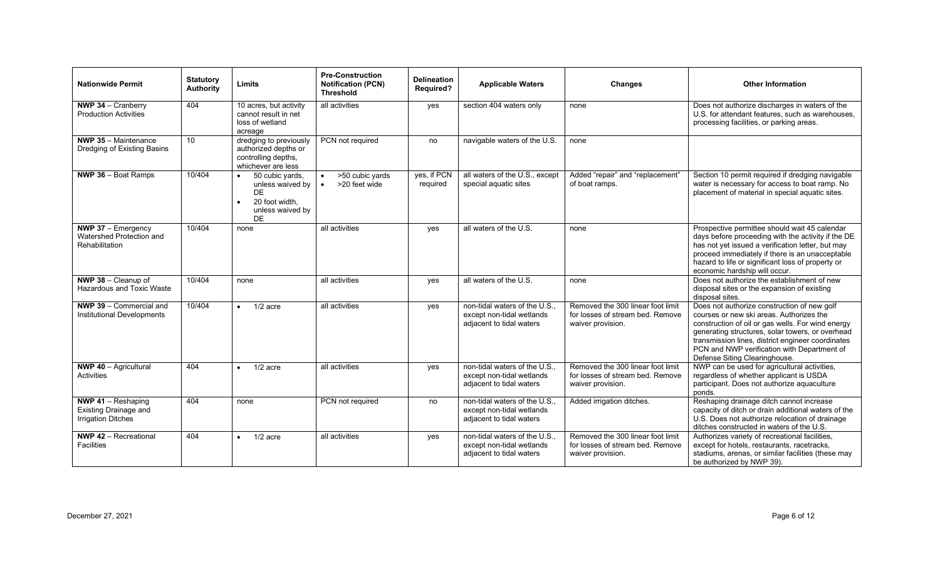| <b>Nationwide Permit</b>                                                 | <b>Statutory</b><br>Authority | Limits                                                                                      | <b>Pre-Construction</b><br><b>Notification (PCN)</b><br><b>Threshold</b> | <b>Delineation</b><br><b>Required?</b> | <b>Applicable Waters</b>                                                              | <b>Changes</b>                                                                             | <b>Other Information</b>                                                                                                                                                                                                                                                                                                              |
|--------------------------------------------------------------------------|-------------------------------|---------------------------------------------------------------------------------------------|--------------------------------------------------------------------------|----------------------------------------|---------------------------------------------------------------------------------------|--------------------------------------------------------------------------------------------|---------------------------------------------------------------------------------------------------------------------------------------------------------------------------------------------------------------------------------------------------------------------------------------------------------------------------------------|
| <b>NWP 34</b> $-$ Cranberry<br><b>Production Activities</b>              | 404                           | 10 acres, but activity<br>cannot result in net<br>loss of wetland<br>acreage                | all activities                                                           | yes                                    | section 404 waters only                                                               | none                                                                                       | Does not authorize discharges in waters of the<br>U.S. for attendant features, such as warehouses,<br>processing facilities, or parking areas.                                                                                                                                                                                        |
| <b>NWP 35</b> $-$ Maintenance<br>Dredging of Existing Basins             | 10                            | dredging to previously<br>authorized depths or<br>controlling depths,<br>whichever are less | PCN not required                                                         | no                                     | navigable waters of the U.S.                                                          | none                                                                                       |                                                                                                                                                                                                                                                                                                                                       |
| <b>NWP 36 - Boat Ramps</b>                                               | 10/404                        | 50 cubic yards,<br>unless waived by<br>DF<br>20 foot width.<br>unless waived by<br>DE       | >50 cubic yards<br>>20 feet wide<br>$\bullet$                            | yes, if PCN<br>required                | all waters of the U.S., except<br>special aquatic sites                               | Added "repair" and "replacement"<br>of boat ramps.                                         | Section 10 permit required if dredging navigable<br>water is necessary for access to boat ramp. No<br>placement of material in special aquatic sites.                                                                                                                                                                                 |
| NWP 37 - Emergency<br>Watershed Protection and<br>Rehabilitation         | 10/404                        | none                                                                                        | all activities                                                           | yes                                    | all waters of the U.S.                                                                | none                                                                                       | Prospective permittee should wait 45 calendar<br>days before proceeding with the activity if the DE<br>has not yet issued a verification letter, but may<br>proceed immediately if there is an unacceptable<br>hazard to life or significant loss of property or<br>economic hardship will occur.                                     |
| NWP 38 - Cleanup of<br>Hazardous and Toxic Waste                         | 10/404                        | none                                                                                        | all activities                                                           | yes                                    | all waters of the U.S.                                                                | none                                                                                       | Does not authorize the establishment of new<br>disposal sites or the expansion of existing<br>disposal sites.                                                                                                                                                                                                                         |
| NWP 39 - Commercial and<br>Institutional Developments                    | 10/404                        | $1/2$ acre<br>$\bullet$                                                                     | all activities                                                           | yes                                    | non-tidal waters of the U.S.<br>except non-tidal wetlands<br>adjacent to tidal waters | Removed the 300 linear foot limit<br>for losses of stream bed. Remove<br>waiver provision. | Does not authorize construction of new golf<br>courses or new ski areas. Authorizes the<br>construction of oil or gas wells. For wind energy<br>generating structures, solar towers, or overhead<br>transmission lines, district engineer coordinates<br>PCN and NWP verification with Department of<br>Defense Siting Clearinghouse. |
| <b>NWP 40 - Agricultural</b><br>Activities                               | 404                           | $1/2$ acre<br>$\bullet$                                                                     | all activities                                                           | yes                                    | non-tidal waters of the U.S.<br>except non-tidal wetlands<br>adjacent to tidal waters | Removed the 300 linear foot limit<br>for losses of stream bed. Remove<br>waiver provision. | NWP can be used for agricultural activities,<br>regardless of whether applicant is USDA<br>participant. Does not authorize aquaculture<br>ponds.                                                                                                                                                                                      |
| NWP 41 - Reshaping<br>Existing Drainage and<br><b>Irrigation Ditches</b> | 404                           | none                                                                                        | PCN not required                                                         | no                                     | non-tidal waters of the U.S.<br>except non-tidal wetlands<br>adjacent to tidal waters | Added irrigation ditches.                                                                  | Reshaping drainage ditch cannot increase<br>capacity of ditch or drain additional waters of the<br>U.S. Does not authorize relocation of drainage<br>ditches constructed in waters of the U.S.                                                                                                                                        |
| <b>NWP 42 - Recreational</b><br><b>Facilities</b>                        | 404                           | $1/2$ acre<br>$\bullet$                                                                     | all activities                                                           | yes                                    | non-tidal waters of the U.S.<br>except non-tidal wetlands<br>adjacent to tidal waters | Removed the 300 linear foot limit<br>for losses of stream bed. Remove<br>waiver provision. | Authorizes variety of recreational facilities,<br>except for hotels, restaurants, racetracks,<br>stadiums, arenas, or similar facilities (these may<br>be authorized by NWP 39).                                                                                                                                                      |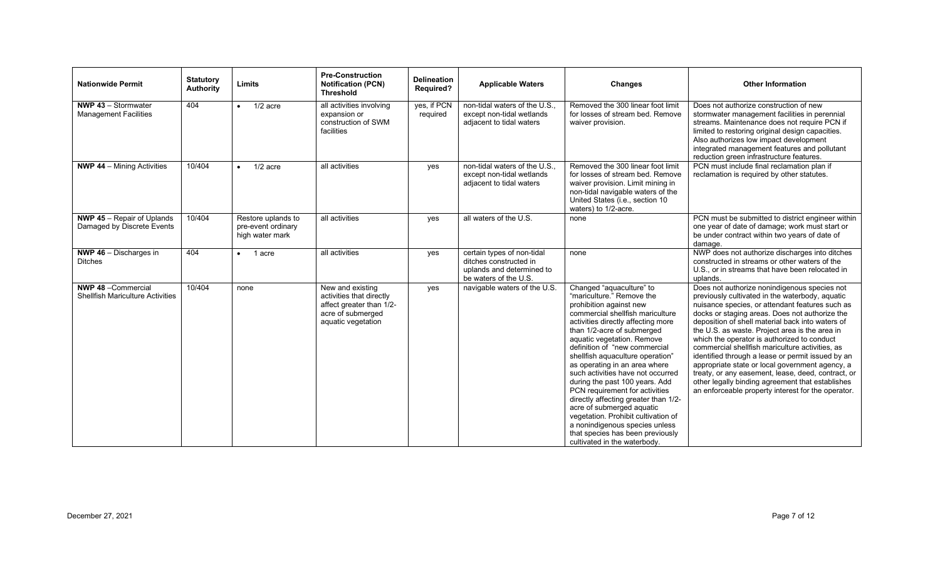| <b>Nationwide Permit</b>                                              | <b>Statutory</b><br>Authority | Limits                                                      | <b>Pre-Construction</b><br><b>Notification (PCN)</b><br><b>Threshold</b>                                            | <b>Delineation</b><br><b>Required?</b> | <b>Applicable Waters</b>                                                                                   | Changes                                                                                                                                                                                                                                                                                                                                                                                                                                                                                                                                                                                                                                                 | <b>Other Information</b>                                                                                                                                                                                                                                                                                                                                                                                                                                                                                                                                                                                                                                                             |
|-----------------------------------------------------------------------|-------------------------------|-------------------------------------------------------------|---------------------------------------------------------------------------------------------------------------------|----------------------------------------|------------------------------------------------------------------------------------------------------------|---------------------------------------------------------------------------------------------------------------------------------------------------------------------------------------------------------------------------------------------------------------------------------------------------------------------------------------------------------------------------------------------------------------------------------------------------------------------------------------------------------------------------------------------------------------------------------------------------------------------------------------------------------|--------------------------------------------------------------------------------------------------------------------------------------------------------------------------------------------------------------------------------------------------------------------------------------------------------------------------------------------------------------------------------------------------------------------------------------------------------------------------------------------------------------------------------------------------------------------------------------------------------------------------------------------------------------------------------------|
| NWP 43 - Stormwater<br><b>Management Facilities</b>                   | 404                           | $1/2$ acre<br>$\bullet$                                     | all activities involving<br>expansion or<br>construction of SWM<br>facilities                                       | yes, if PCN<br>required                | non-tidal waters of the U.S.<br>except non-tidal wetlands<br>adjacent to tidal waters                      | Removed the 300 linear foot limit<br>for losses of stream bed. Remove<br>waiver provision.                                                                                                                                                                                                                                                                                                                                                                                                                                                                                                                                                              | Does not authorize construction of new<br>stormwater management facilities in perennial<br>streams. Maintenance does not require PCN if<br>limited to restoring original design capacities.<br>Also authorizes low impact development<br>integrated management features and pollutant<br>reduction green infrastructure features.                                                                                                                                                                                                                                                                                                                                                    |
| <b>NWP 44 - Mining Activities</b>                                     | 10/404                        | $1/2$ acre<br>$\bullet$                                     | all activities                                                                                                      | yes                                    | non-tidal waters of the U.S.<br>except non-tidal wetlands<br>adjacent to tidal waters                      | Removed the 300 linear foot limit<br>for losses of stream bed. Remove<br>waiver provision. Limit mining in<br>non-tidal navigable waters of the<br>United States (i.e., section 10<br>waters) to 1/2-acre.                                                                                                                                                                                                                                                                                                                                                                                                                                              | PCN must include final reclamation plan if<br>reclamation is required by other statutes.                                                                                                                                                                                                                                                                                                                                                                                                                                                                                                                                                                                             |
| <b>NWP 45 - Repair of Uplands</b><br>Damaged by Discrete Events       | 10/404                        | Restore uplands to<br>pre-event ordinary<br>high water mark | all activities                                                                                                      | yes                                    | all waters of the U.S.                                                                                     | none                                                                                                                                                                                                                                                                                                                                                                                                                                                                                                                                                                                                                                                    | PCN must be submitted to district engineer within<br>one year of date of damage; work must start or<br>be under contract within two years of date of<br>damage.                                                                                                                                                                                                                                                                                                                                                                                                                                                                                                                      |
| <b>NWP 46</b> $-$ Discharges in<br><b>Ditches</b>                     | 404                           | 1 acre<br>$\bullet$                                         | all activities                                                                                                      | yes                                    | certain types of non-tidal<br>ditches constructed in<br>uplands and determined to<br>be waters of the U.S. | none                                                                                                                                                                                                                                                                                                                                                                                                                                                                                                                                                                                                                                                    | NWP does not authorize discharges into ditches<br>constructed in streams or other waters of the<br>U.S., or in streams that have been relocated in<br>uplands.                                                                                                                                                                                                                                                                                                                                                                                                                                                                                                                       |
| <b>NWP 48 - Commercial</b><br><b>Shellfish Mariculture Activities</b> | 10/404                        | none                                                        | New and existing<br>activities that directly<br>affect greater than 1/2-<br>acre of submerged<br>aquatic vegetation | yes                                    | navigable waters of the U.S.                                                                               | Changed "aquaculture" to<br>"mariculture." Remove the<br>prohibition against new<br>commercial shellfish mariculture<br>activities directly affecting more<br>than 1/2-acre of submerged<br>aquatic vegetation. Remove<br>definition of "new commercial<br>shellfish aquaculture operation"<br>as operating in an area where<br>such activities have not occurred<br>during the past 100 years. Add<br>PCN requirement for activities<br>directly affecting greater than 1/2-<br>acre of submerged aquatic<br>vegetation. Prohibit cultivation of<br>a nonindigenous species unless<br>that species has been previously<br>cultivated in the waterbody. | Does not authorize nonindigenous species not<br>previously cultivated in the waterbody, aquatic<br>nuisance species, or attendant features such as<br>docks or staging areas. Does not authorize the<br>deposition of shell material back into waters of<br>the U.S. as waste. Project area is the area in<br>which the operator is authorized to conduct<br>commercial shellfish mariculture activities, as<br>identified through a lease or permit issued by an<br>appropriate state or local government agency, a<br>treaty, or any easement, lease, deed, contract, or<br>other legally binding agreement that establishes<br>an enforceable property interest for the operator. |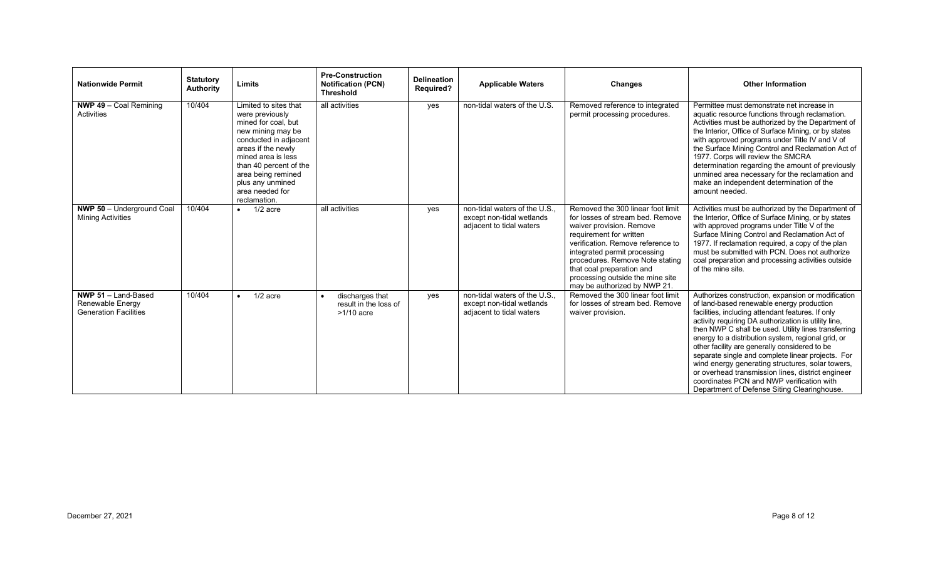| <b>Nationwide Permit</b>                                                         | <b>Statutory</b><br><b>Authority</b> | Limits                                                                                                                                                                                                                                                           | <b>Pre-Construction</b><br><b>Notification (PCN)</b><br><b>Threshold</b> | <b>Delineation</b><br><b>Required?</b> | <b>Applicable Waters</b>                                                              | Changes                                                                                                                                                                                                                                                                                                                               | <b>Other Information</b>                                                                                                                                                                                                                                                                                                                                                                                                                                                                                                                                                                                                              |
|----------------------------------------------------------------------------------|--------------------------------------|------------------------------------------------------------------------------------------------------------------------------------------------------------------------------------------------------------------------------------------------------------------|--------------------------------------------------------------------------|----------------------------------------|---------------------------------------------------------------------------------------|---------------------------------------------------------------------------------------------------------------------------------------------------------------------------------------------------------------------------------------------------------------------------------------------------------------------------------------|---------------------------------------------------------------------------------------------------------------------------------------------------------------------------------------------------------------------------------------------------------------------------------------------------------------------------------------------------------------------------------------------------------------------------------------------------------------------------------------------------------------------------------------------------------------------------------------------------------------------------------------|
| <b>NWP 49</b> $-$ Coal Remining<br>Activities                                    | 10/404                               | Limited to sites that<br>were previously<br>mined for coal, but<br>new mining may be<br>conducted in adjacent<br>areas if the newly<br>mined area is less<br>than 40 percent of the<br>area being remined<br>plus any unmined<br>area needed for<br>reclamation. | all activities                                                           | yes                                    | non-tidal waters of the U.S.                                                          | Removed reference to integrated<br>permit processing procedures.                                                                                                                                                                                                                                                                      | Permittee must demonstrate net increase in<br>aquatic resource functions through reclamation.<br>Activities must be authorized by the Department of<br>the Interior, Office of Surface Mining, or by states<br>with approved programs under Title IV and V of<br>the Surface Mining Control and Reclamation Act of<br>1977. Corps will review the SMCRA<br>determination regarding the amount of previously<br>unmined area necessary for the reclamation and<br>make an independent determination of the<br>amount needed.                                                                                                           |
| <b>NWP 50 - Underground Coal</b><br><b>Mining Activities</b>                     | 10/404                               | $1/2$ acre<br>$\bullet$                                                                                                                                                                                                                                          | all activities                                                           | yes                                    | non-tidal waters of the U.S.<br>except non-tidal wetlands<br>adjacent to tidal waters | Removed the 300 linear foot limit<br>for losses of stream bed. Remove<br>waiver provision. Remove<br>requirement for written<br>verification. Remove reference to<br>integrated permit processing<br>procedures. Remove Note stating<br>that coal preparation and<br>processing outside the mine site<br>may be authorized by NWP 21. | Activities must be authorized by the Department of<br>the Interior, Office of Surface Mining, or by states<br>with approved programs under Title V of the<br>Surface Mining Control and Reclamation Act of<br>1977. If reclamation required, a copy of the plan<br>must be submitted with PCN. Does not authorize<br>coal preparation and processing activities outside<br>of the mine site.                                                                                                                                                                                                                                          |
| <b>NWP 51</b> $-$ Land-Based<br>Renewable Energy<br><b>Generation Facilities</b> | 10/404                               | $1/2$ acre<br>$\bullet$                                                                                                                                                                                                                                          | discharges that<br>result in the loss of<br>$>1/10$ acre                 | yes                                    | non-tidal waters of the U.S.<br>except non-tidal wetlands<br>adjacent to tidal waters | Removed the 300 linear foot limit<br>for losses of stream bed. Remove<br>waiver provision.                                                                                                                                                                                                                                            | Authorizes construction, expansion or modification<br>of land-based renewable energy production<br>facilities, including attendant features. If only<br>activity requiring DA authorization is utility line,<br>then NWP C shall be used. Utility lines transferring<br>energy to a distribution system, regional grid, or<br>other facility are generally considered to be<br>separate single and complete linear projects. For<br>wind energy generating structures, solar towers,<br>or overhead transmission lines, district engineer<br>coordinates PCN and NWP verification with<br>Department of Defense Siting Clearinghouse. |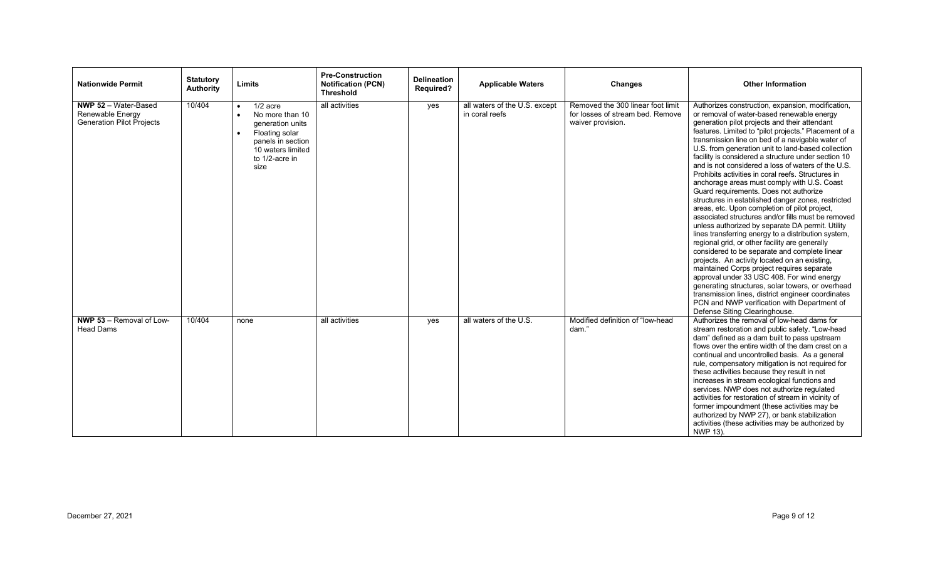| <b>Nationwide Permit</b>                                                            | <b>Statutory</b><br>Authority | Limits                                                                                                                                                                         | <b>Pre-Construction</b><br><b>Notification (PCN)</b><br><b>Threshold</b> | <b>Delineation</b><br><b>Required?</b> | <b>Applicable Waters</b>                        | <b>Changes</b>                                                                             | <b>Other Information</b>                                                                                                                                                                                                                                                                                                                                                                                                                                                                                                                                                                                                                                                                                                                                                                                                                                                                                                                                                                                                                                                                                                                                                                                                                                                                         |
|-------------------------------------------------------------------------------------|-------------------------------|--------------------------------------------------------------------------------------------------------------------------------------------------------------------------------|--------------------------------------------------------------------------|----------------------------------------|-------------------------------------------------|--------------------------------------------------------------------------------------------|--------------------------------------------------------------------------------------------------------------------------------------------------------------------------------------------------------------------------------------------------------------------------------------------------------------------------------------------------------------------------------------------------------------------------------------------------------------------------------------------------------------------------------------------------------------------------------------------------------------------------------------------------------------------------------------------------------------------------------------------------------------------------------------------------------------------------------------------------------------------------------------------------------------------------------------------------------------------------------------------------------------------------------------------------------------------------------------------------------------------------------------------------------------------------------------------------------------------------------------------------------------------------------------------------|
| <b>NWP 52 - Water-Based</b><br>Renewable Energy<br><b>Generation Pilot Projects</b> | 10/404                        | $1/2$ acre<br>$\bullet$<br>No more than 10<br>$\bullet$<br>generation units<br>Floating solar<br>$\bullet$<br>panels in section<br>10 waters limited<br>to 1/2-acre in<br>size | all activities                                                           | yes                                    | all waters of the U.S. except<br>in coral reefs | Removed the 300 linear foot limit<br>for losses of stream bed. Remove<br>waiver provision. | Authorizes construction, expansion, modification,<br>or removal of water-based renewable energy<br>generation pilot projects and their attendant<br>features. Limited to "pilot projects." Placement of a<br>transmission line on bed of a navigable water of<br>U.S. from generation unit to land-based collection<br>facility is considered a structure under section 10<br>and is not considered a loss of waters of the U.S.<br>Prohibits activities in coral reefs. Structures in<br>anchorage areas must comply with U.S. Coast<br>Guard requirements. Does not authorize<br>structures in established danger zones, restricted<br>areas, etc. Upon completion of pilot project,<br>associated structures and/or fills must be removed<br>unless authorized by separate DA permit. Utility<br>lines transferring energy to a distribution system,<br>regional grid, or other facility are generally<br>considered to be separate and complete linear<br>projects. An activity located on an existing,<br>maintained Corps project requires separate<br>approval under 33 USC 408. For wind energy<br>generating structures, solar towers, or overhead<br>transmission lines, district engineer coordinates<br>PCN and NWP verification with Department of<br>Defense Siting Clearinghouse. |
| NWP 53 - Removal of Low-<br><b>Head Dams</b>                                        | 10/404                        | none                                                                                                                                                                           | all activities                                                           | yes                                    | all waters of the U.S.                          | Modified definition of "low-head<br>dam."                                                  | Authorizes the removal of low-head dams for<br>stream restoration and public safety. "Low-head<br>dam" defined as a dam built to pass upstream<br>flows over the entire width of the dam crest on a<br>continual and uncontrolled basis. As a general<br>rule, compensatory mitigation is not required for<br>these activities because they result in net<br>increases in stream ecological functions and<br>services. NWP does not authorize regulated<br>activities for restoration of stream in vicinity of<br>former impoundment (these activities may be<br>authorized by NWP 27), or bank stabilization<br>activities (these activities may be authorized by<br>NWP 13).                                                                                                                                                                                                                                                                                                                                                                                                                                                                                                                                                                                                                   |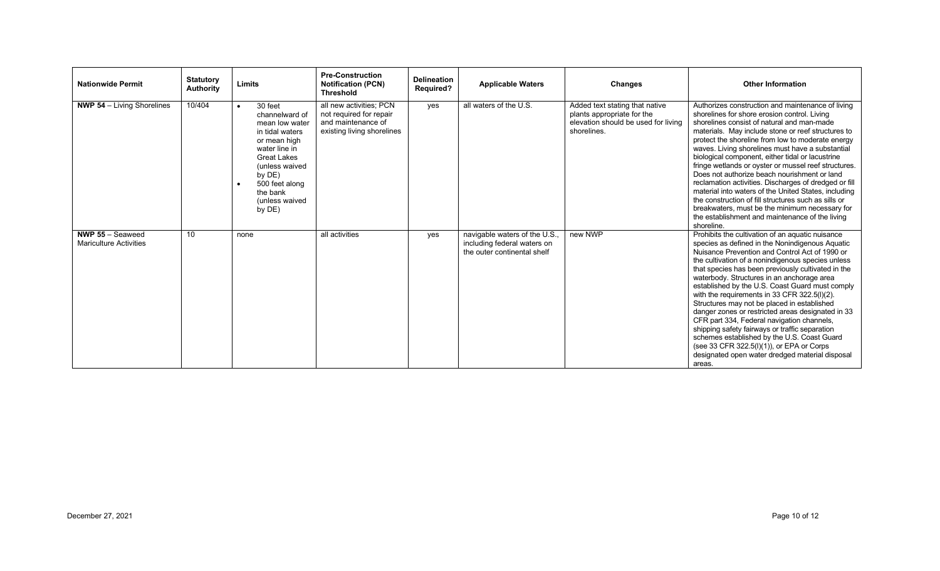| <b>Nationwide Permit</b>                                 | <b>Statutory</b><br><b>Authority</b> | Limits                                                                                                                                                                                                                   | <b>Pre-Construction</b><br><b>Notification (PCN)</b><br><b>Threshold</b>                               | <b>Delineation</b><br><b>Required?</b> | <b>Applicable Waters</b>                                                                    | <b>Changes</b>                                                                                                     | <b>Other Information</b>                                                                                                                                                                                                                                                                                                                                                                                                                                                                                                                                                                                                                                                                                                                                                       |
|----------------------------------------------------------|--------------------------------------|--------------------------------------------------------------------------------------------------------------------------------------------------------------------------------------------------------------------------|--------------------------------------------------------------------------------------------------------|----------------------------------------|---------------------------------------------------------------------------------------------|--------------------------------------------------------------------------------------------------------------------|--------------------------------------------------------------------------------------------------------------------------------------------------------------------------------------------------------------------------------------------------------------------------------------------------------------------------------------------------------------------------------------------------------------------------------------------------------------------------------------------------------------------------------------------------------------------------------------------------------------------------------------------------------------------------------------------------------------------------------------------------------------------------------|
| <b>NWP 54</b> $-$ Living Shorelines                      | 10/404                               | 30 feet<br>$\bullet$<br>channelward of<br>mean low water<br>in tidal waters<br>or mean high<br>water line in<br><b>Great Lakes</b><br>(unless waived<br>by DE)<br>500 feet along<br>the bank<br>(unless waived<br>by DE) | all new activities; PCN<br>not required for repair<br>and maintenance of<br>existing living shorelines | yes                                    | all waters of the U.S.                                                                      | Added text stating that native<br>plants appropriate for the<br>elevation should be used for living<br>shorelines. | Authorizes construction and maintenance of living<br>shorelines for shore erosion control. Living<br>shorelines consist of natural and man-made<br>materials. May include stone or reef structures to<br>protect the shoreline from low to moderate energy<br>waves. Living shorelines must have a substantial<br>biological component, either tidal or lacustrine<br>fringe wetlands or oyster or mussel reef structures.<br>Does not authorize beach nourishment or land<br>reclamation activities. Discharges of dredged or fill<br>material into waters of the United States, including<br>the construction of fill structures such as sills or<br>breakwaters, must be the minimum necessary for<br>the establishment and maintenance of the living<br>shoreline.         |
| <b>NWP 55 - Seaweed</b><br><b>Mariculture Activities</b> | 10                                   | none                                                                                                                                                                                                                     | all activities                                                                                         | yes                                    | navigable waters of the U.S.,<br>including federal waters on<br>the outer continental shelf | new NWP                                                                                                            | Prohibits the cultivation of an aquatic nuisance<br>species as defined in the Nonindigenous Aquatic<br>Nuisance Prevention and Control Act of 1990 or<br>the cultivation of a nonindigenous species unless<br>that species has been previously cultivated in the<br>waterbody. Structures in an anchorage area<br>established by the U.S. Coast Guard must comply<br>with the requirements in 33 CFR 322.5(I)(2).<br>Structures may not be placed in established<br>danger zones or restricted areas designated in 33<br>CFR part 334, Federal navigation channels,<br>shipping safety fairways or traffic separation<br>schemes established by the U.S. Coast Guard<br>(see 33 CFR 322.5(I)(1)), or EPA or Corps<br>designated open water dredged material disposal<br>areas. |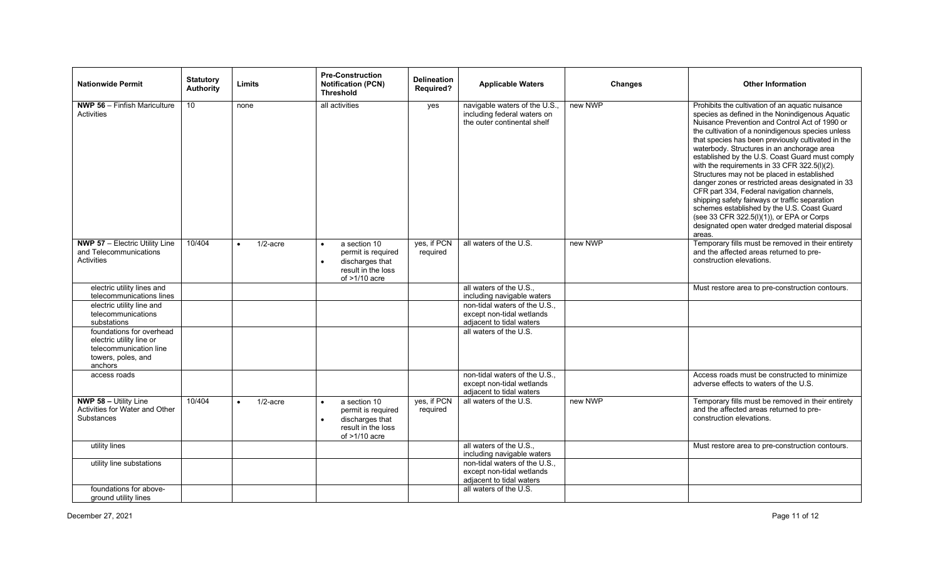| <b>Nationwide Permit</b>                                                                                        | <b>Statutory</b><br><b>Authority</b> | Limits      | <b>Pre-Construction</b><br><b>Notification (PCN)</b><br><b>Threshold</b>                                                 | <b>Delineation</b><br><b>Required?</b> | <b>Applicable Waters</b>                                                                    | Changes | <b>Other Information</b>                                                                                                                                                                                                                                                                                                                                                                                                                                                                                                                                                                                                                                                                                                                                                       |
|-----------------------------------------------------------------------------------------------------------------|--------------------------------------|-------------|--------------------------------------------------------------------------------------------------------------------------|----------------------------------------|---------------------------------------------------------------------------------------------|---------|--------------------------------------------------------------------------------------------------------------------------------------------------------------------------------------------------------------------------------------------------------------------------------------------------------------------------------------------------------------------------------------------------------------------------------------------------------------------------------------------------------------------------------------------------------------------------------------------------------------------------------------------------------------------------------------------------------------------------------------------------------------------------------|
| NWP 56 - Finfish Mariculture<br>Activities                                                                      | $\overline{10}$                      | none        | all activities                                                                                                           | yes                                    | navigable waters of the U.S.,<br>including federal waters on<br>the outer continental shelf | new NWP | Prohibits the cultivation of an aquatic nuisance<br>species as defined in the Nonindigenous Aquatic<br>Nuisance Prevention and Control Act of 1990 or<br>the cultivation of a nonindigenous species unless<br>that species has been previously cultivated in the<br>waterbody. Structures in an anchorage area<br>established by the U.S. Coast Guard must comply<br>with the requirements in 33 CFR 322.5(I)(2).<br>Structures may not be placed in established<br>danger zones or restricted areas designated in 33<br>CFR part 334, Federal navigation channels,<br>shipping safety fairways or traffic separation<br>schemes established by the U.S. Coast Guard<br>(see 33 CFR 322.5(I)(1)), or EPA or Corps<br>designated open water dredged material disposal<br>areas. |
| <b>NWP 57 - Electric Utility Line</b><br>and Telecommunications<br><b>Activities</b>                            | 10/404                               | $1/2$ -acre | a section 10<br>permit is required<br>discharges that<br>result in the loss<br>of $>1/10$ acre                           | yes, if PCN<br>required                | all waters of the U.S.                                                                      | new NWP | Temporary fills must be removed in their entirety<br>and the affected areas returned to pre-<br>construction elevations.                                                                                                                                                                                                                                                                                                                                                                                                                                                                                                                                                                                                                                                       |
| electric utility lines and<br>telecommunications lines                                                          |                                      |             |                                                                                                                          |                                        | all waters of the U.S.,<br>including navigable waters                                       |         | Must restore area to pre-construction contours.                                                                                                                                                                                                                                                                                                                                                                                                                                                                                                                                                                                                                                                                                                                                |
| electric utility line and                                                                                       |                                      |             |                                                                                                                          |                                        | non-tidal waters of the U.S.,                                                               |         |                                                                                                                                                                                                                                                                                                                                                                                                                                                                                                                                                                                                                                                                                                                                                                                |
| telecommunications<br>substations                                                                               |                                      |             |                                                                                                                          |                                        | except non-tidal wetlands<br>adjacent to tidal waters                                       |         |                                                                                                                                                                                                                                                                                                                                                                                                                                                                                                                                                                                                                                                                                                                                                                                |
| foundations for overhead<br>electric utility line or<br>telecommunication line<br>towers, poles, and<br>anchors |                                      |             |                                                                                                                          |                                        | all waters of the U.S.                                                                      |         |                                                                                                                                                                                                                                                                                                                                                                                                                                                                                                                                                                                                                                                                                                                                                                                |
| access roads                                                                                                    |                                      |             |                                                                                                                          |                                        | non-tidal waters of the U.S.,<br>except non-tidal wetlands<br>adjacent to tidal waters      |         | Access roads must be constructed to minimize<br>adverse effects to waters of the U.S.                                                                                                                                                                                                                                                                                                                                                                                                                                                                                                                                                                                                                                                                                          |
| <b>NWP 58 - Utility Line</b><br>Activities for Water and Other<br><b>Substances</b>                             | 10/404                               | $1/2$ -acre | a section 10<br>$\bullet$<br>permit is required<br>discharges that<br>$\bullet$<br>result in the loss<br>of $>1/10$ acre | yes, if PCN<br>required                | all waters of the U.S.                                                                      | new NWP | Temporary fills must be removed in their entirety<br>and the affected areas returned to pre-<br>construction elevations.                                                                                                                                                                                                                                                                                                                                                                                                                                                                                                                                                                                                                                                       |
| utility lines                                                                                                   |                                      |             |                                                                                                                          |                                        | all waters of the U.S.,<br>including navigable waters                                       |         | Must restore area to pre-construction contours.                                                                                                                                                                                                                                                                                                                                                                                                                                                                                                                                                                                                                                                                                                                                |
| utility line substations                                                                                        |                                      |             |                                                                                                                          |                                        | non-tidal waters of the U.S.,                                                               |         |                                                                                                                                                                                                                                                                                                                                                                                                                                                                                                                                                                                                                                                                                                                                                                                |
|                                                                                                                 |                                      |             |                                                                                                                          |                                        | except non-tidal wetlands                                                                   |         |                                                                                                                                                                                                                                                                                                                                                                                                                                                                                                                                                                                                                                                                                                                                                                                |
|                                                                                                                 |                                      |             |                                                                                                                          |                                        | adjacent to tidal waters                                                                    |         |                                                                                                                                                                                                                                                                                                                                                                                                                                                                                                                                                                                                                                                                                                                                                                                |
| foundations for above-                                                                                          |                                      |             |                                                                                                                          |                                        | all waters of the U.S.                                                                      |         |                                                                                                                                                                                                                                                                                                                                                                                                                                                                                                                                                                                                                                                                                                                                                                                |
| ground utility lines                                                                                            |                                      |             |                                                                                                                          |                                        |                                                                                             |         |                                                                                                                                                                                                                                                                                                                                                                                                                                                                                                                                                                                                                                                                                                                                                                                |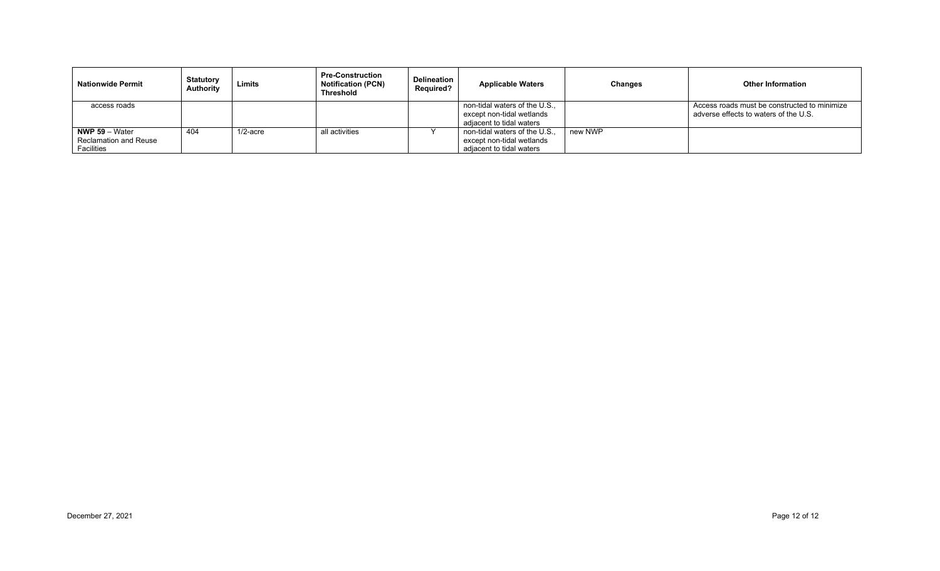| <b>Nationwide Permit</b>                                       | <b>Statutory</b><br><b>Authority</b> | Limits      | <b>Pre-Construction</b><br><b>Notification (PCN)</b><br><b>Threshold</b> | Delineation<br><b>Required?</b> | <b>Applicable Waters</b>                                                               | <b>Changes</b> | <b>Other Information</b>                                                              |
|----------------------------------------------------------------|--------------------------------------|-------------|--------------------------------------------------------------------------|---------------------------------|----------------------------------------------------------------------------------------|----------------|---------------------------------------------------------------------------------------|
| access roads                                                   |                                      |             |                                                                          |                                 | non-tidal waters of the U.S.,<br>except non-tidal wetlands<br>adjacent to tidal waters |                | Access roads must be constructed to minimize<br>adverse effects to waters of the U.S. |
| <b>NWP 59</b> $-$ Water<br>Reclamation and Reuse<br>Facilities | 404                                  | $1/2$ -acre | all activities                                                           |                                 | non-tidal waters of the U.S.,<br>except non-tidal wetlands<br>adjacent to tidal waters | new NWP        |                                                                                       |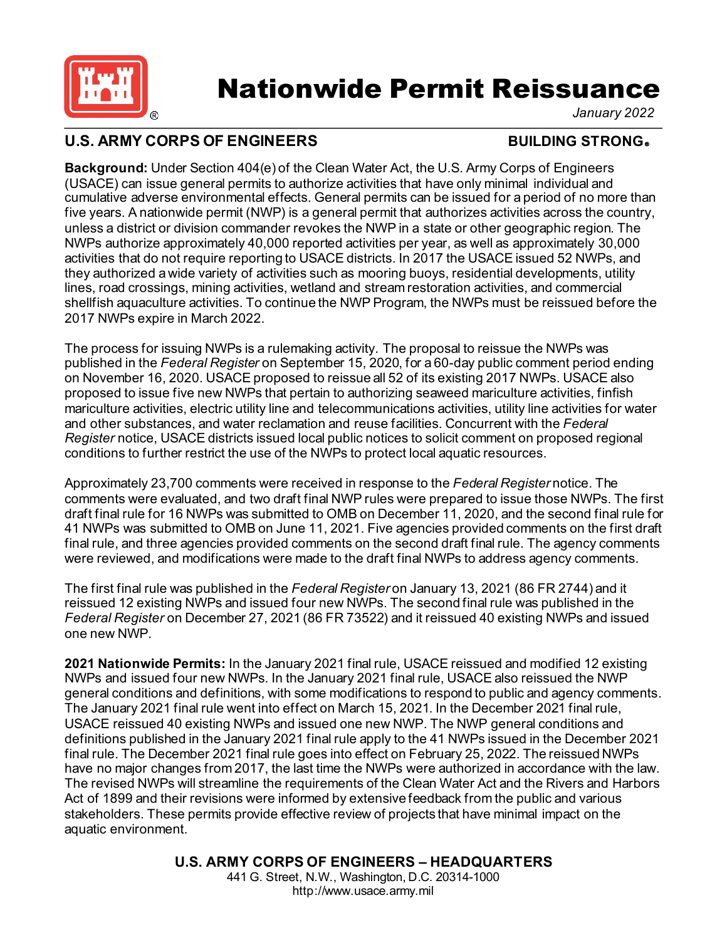

# **Nationwide Permit Reissuance**<br>
FENGINEERS
ENGINEERS
BUILDING STRONG.

*January 2022* 

# U.S. ARMY CORPS OF ENGINEERS **BUILDING STRONG**

 **Background:** Under Section 404(e) of the Clean Water Act, the U.S. Army Corps of Engineers (USACE) can issue general permits to authorize activities that have only minimal individual and cumulative adverse environmental effects. General permits can be issued for a period of no more than five years. A nationwide permit (NWP) is a general permit that authorizes activities across the country, unless a district or division commander revokes the NWP in a state or other geographic region. The NWPs authorize approximately 40,000 reported activities per year, as well as approximately 30,000 activities that do not require reporting to USACE districts. In 2017 the USACE issued 52 NWPs, and they authorized a wide variety of activities such as mooring buoys, residential developments, utility lines, road crossings, mining activities, wetland and stream restoration activities, and commercial shellfish aquaculture activities. To continue the NWP Program, the NWPs must be reissued before the 2017 NWPs expire in March 2022.

 The process for issuing NWPs is a rulemaking activity. The proposal to reissue the NWPs was published in the *Federal Register* on September 15, 2020, for a 60-day public comment period ending on November 16, 2020. USACE proposed to reissue all 52 of its existing 2017 NWPs. USACE also proposed to issue five new NWPs that pertain to authorizing seaweed mariculture activities, finfish mariculture activities, electric utility line and telecommunications activities, utility line activities for water and other substances, and water reclamation and reuse facilities. Concurrent with the *Federal Register* notice, USACE districts issued local public notices to solicit comment on proposed regional conditions to further restrict the use of the NWPs to protect local aquatic resources.

 Approximately 23,700 comments were received in response to the *Federal Register* notice. The comments were evaluated, and two draft final NWP rules were prepared to issue those NWPs. The first draft final rule for 16 NWPs was submitted to OMB on December 11, 2020, and the second final rule for 41 NWPs was submitted to OMB on June 11, 2021. Five agencies provided comments on the first draft final rule, and three agencies provided comments on the second draft final rule. The agency comments were reviewed, and modifications were made to the draft final NWPs to address agency comments.

 The first final rule was published in the *Federal Register* on January 13, 2021 (86 FR 2744) and it reissued 12 existing NWPs and issued four new NWPs. The second final rule was published in the *Federal Register* on December 27, 2021 (86 FR 73522) and it reissued 40 existing NWPs and issued one new NWP.

 **2021 Nationwide Permits:** In the January 2021 final rule, USACE reissued and modified 12 existing final rule. The December 2021 final rule goes into effect on February 25, 2022. The reissued NWPs have no major changes from 2017, the last time the NWPs were authorized in accordance with the law. The revised NWPs will streamline the requirements of the Clean Water Act and the Rivers and Harbors Act of 1899 and their revisions were informed by extensive feedback from the public and various stakeholders. These permits provide effective review of projects that have minimal impact on the aquatic environment. NWPs and issued four new NWPs. In the January 2021 final rule, USACE also reissued the NWP general conditions and definitions, with some modifications to respond to public and agency comments. The January 2021 final rule went into effect on March 15, 2021. In the December 2021 final rule, USACE reissued 40 existing NWPs and issued one new NWP. The NWP general conditions and definitions published in the January 2021 final rule apply to the 41 NWPs issued in the December 2021

> **U.S. ARMY CORPS OF ENGINEERS – HEADQUARTERS**  441 G. Street, N.W., Washington, D.C. 20314-1000 <http://www.usace.army.mil>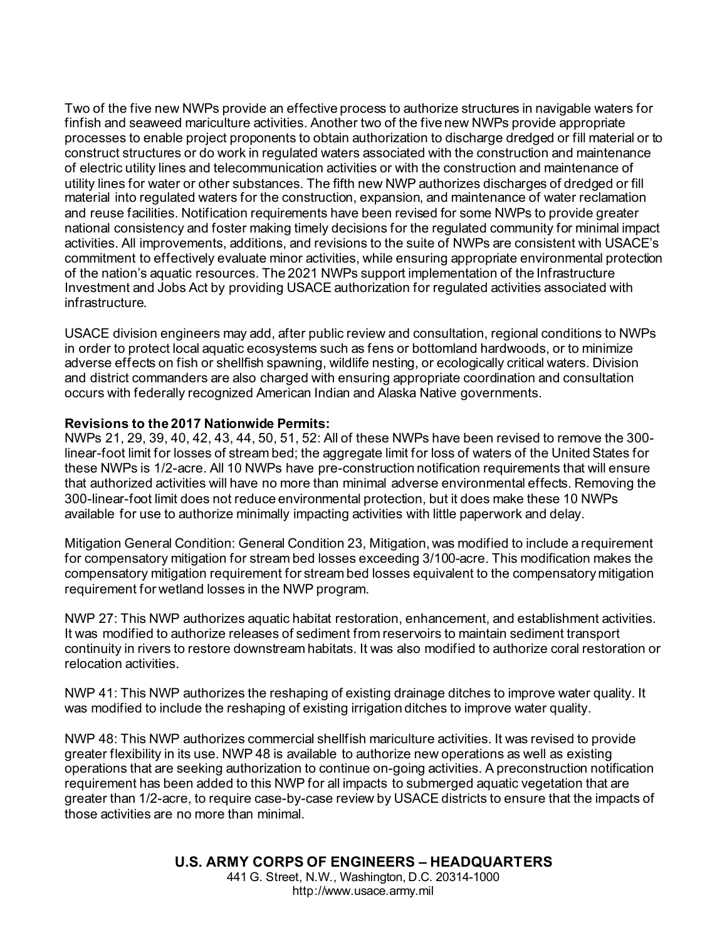Two of the five new NWPs provide an effective process to authorize structures in navigable waters for finfish and seaweed mariculture activities. Another two of the five new NWPs provide appropriate processes to enable project proponents to obtain authorization to discharge dredged or fill material or to construct structures or do work in regulated waters associated with the construction and maintenance of electric utility lines and telecommunication activities or with the construction and maintenance of utility lines for water or other substances. The fifth new NWP authorizes discharges of dredged or fill material into regulated waters for the construction, expansion, and maintenance of water reclamation and reuse facilities. Notification requirements have been revised for some NWPs to provide greater national consistency and foster making timely decisions for the regulated community for minimal impact activities. All improvements, additions, and revisions to the suite of NWPs are consistent with USACE's commitment to effectively evaluate minor activities, while ensuring appropriate environmental protection of the nation's aquatic resources. The 2021 NWPs support implementation of the Infrastructure Investment and Jobs Act by providing USACE authorization for regulated activities associated with infrastructure.

 USACE division engineers may add, after public review and consultation, regional conditions to NWPs in order to protect local aquatic ecosystems such as fens or bottomland hardwoods, or to minimize adverse effects on fish or shellfish spawning, wildlife nesting, or ecologically critical waters. Division and district commanders are also charged with ensuring appropriate coordination and consultation occurs with federally recognized American Indian and Alaska Native governments.

### **Revisions to the 2017 Nationwide Permits:**

 NWPs 21, 29, 39, 40, 42, 43, 44, 50, 51, 52: All of these NWPs have been revised to remove the 300 linear-foot limit for losses of stream bed; the aggregate limit for loss of waters of the United States for these NWPs is 1/2-acre. All 10 NWPs have pre-construction notification requirements that will ensure that authorized activities will have no more than minimal adverse environmental effects. Removing the 300-linear-foot limit does not reduce environmental protection, but it does make these 10 NWPs available for use to authorize minimally impacting activities with little paperwork and delay.

 Mitigation General Condition: General Condition 23, Mitigation, was modified to include a requirement for compensatory mitigation for stream bed losses exceeding 3/100-acre. This modification makes the compensatory mitigation requirement for stream bed losses equivalent to the compensatory mitigation requirement for wetland losses in the NWP program.

 NWP 27: This NWP authorizes aquatic habitat restoration, enhancement, and establishment activities. It was modified to authorize releases of sediment from reservoirs to maintain sediment transport continuity in rivers to restore downstream habitats. It was also modified to authorize coral restoration or relocation activities.

 NWP 41: This NWP authorizes the reshaping of existing drainage ditches to improve water quality. It was modified to include the reshaping of existing irrigation ditches to improve water quality.

 NWP 48: This NWP authorizes commercial shellfish mariculture activities. It was revised to provide greater flexibility in its use. NWP 48 is available to authorize new operations as well as existing operations that are seeking authorization to continue on-going activities. A preconstruction notification requirement has been added to this NWP for all impacts to submerged aquatic vegetation that are greater than 1/2-acre, to require case-by-case review by USACE districts to ensure that the impacts of those activities are no more than minimal.

> **U.S. ARMY CORPS OF ENGINEERS – HEADQUARTERS**  441 G. Street, N.W., Washington, D.C. 20314-1000 <http://www.usace.army.mil>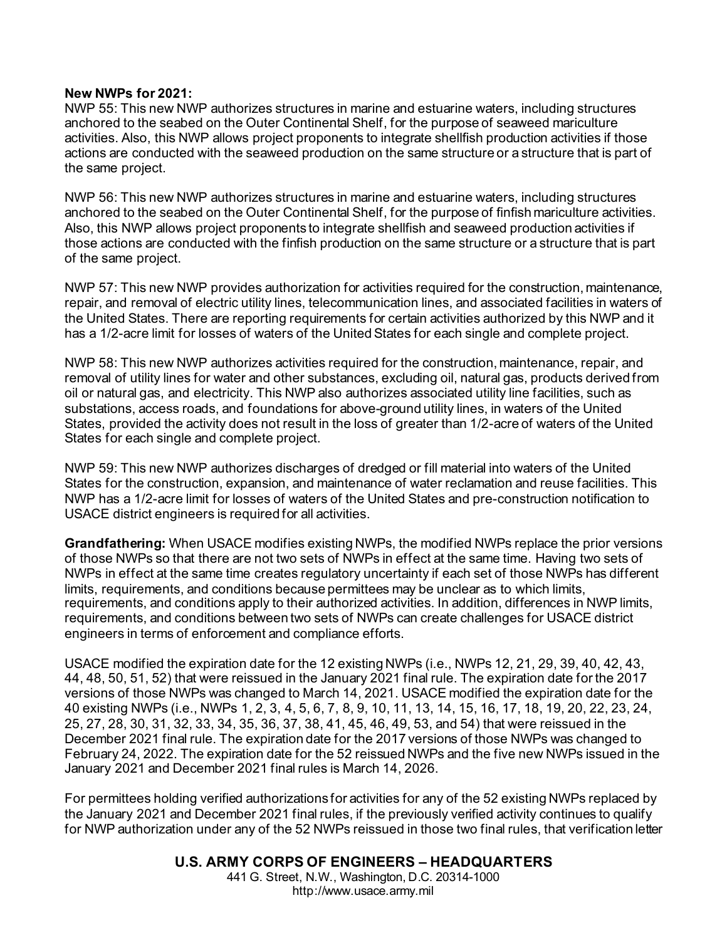#### **New NWPs for 2021:**

 NWP 55: This new NWP authorizes structures in marine and estuarine waters, including structures anchored to the seabed on the Outer Continental Shelf, for the purpose of seaweed mariculture activities. Also, this NWP allows project proponents to integrate shellfish production activities if those actions are conducted with the seaweed production on the same structure or a structure that is part of the same project.

 NWP 56: This new NWP authorizes structures in marine and estuarine waters, including structures anchored to the seabed on the Outer Continental Shelf, for the purpose of finfish mariculture activities. Also, this NWP allows project proponents to integrate shellfish and seaweed production activities if those actions are conducted with the finfish production on the same structure or a structure that is part of the same project.

 NWP 57: This new NWP provides authorization for activities required for the construction, maintenance, repair, and removal of electric utility lines, telecommunication lines, and associated facilities in waters of the United States. There are reporting requirements for certain activities authorized by this NWP and it has a 1/2-acre limit for losses of waters of the United States for each single and complete project.

NWP 58: This new NWP authorizes activities required for the construction, maintenance, repair, and removal of utility lines for water and other substances, excluding oil, natural gas, products derived from oil or natural gas, and electricity. This NWP also authorizes associated utility line facilities, such as substations, access roads, and foundations for above-ground utility lines, in waters of the United States, provided the activity does not result in the loss of greater than 1/2-acre of waters of the United States for each single and complete project.

NWP 59: This new NWP authorizes discharges of dredged or fill material into waters of the United States for the construction, expansion, and maintenance of water reclamation and reuse facilities. This NWP has a 1/2-acre limit for losses of waters of the United States and pre-construction notification to USACE district engineers is required for all activities.

**Grandfathering:** When USACE modifies existing NWPs, the modified NWPs replace the prior versions of those NWPs so that there are not two sets of NWPs in effect at the same time. Having two sets of NWPs in effect at the same time creates regulatory uncertainty if each set of those NWPs has different limits, requirements, and conditions because permittees may be unclear as to which limits, requirements, and conditions apply to their authorized activities. In addition, differences in NWP limits, requirements, and conditions between two sets of NWPs can create challenges for USACE district engineers in terms of enforcement and compliance efforts.

 40 existing NWPs (i.e., NWPs 1, 2, 3, 4, 5, 6, 7, 8, 9, 10, 11, 13, 14, 15, 16, 17, 18, 19, 20, 22, 23, 24, USACE modified the expiration date for the 12 existing NWPs (i.e., NWPs 12, 21, 29, 39, 40, 42, 43, 44, 48, 50, 51, 52) that were reissued in the January 2021 final rule. The expiration date for the 2017 versions of those NWPs was changed to March 14, 2021. USACE modified the expiration date for the 25, 27, 28, 30, 31, 32, 33, 34, 35, 36, 37, 38, 41, 45, 46, 49, 53, and 54) that were reissued in the December 2021 final rule. The expiration date for the 2017 versions of those NWPs was changed to February 24, 2022. The expiration date for the 52 reissued NWPs and the five new NWPs issued in the January 2021 and December 2021 final rules is March 14, 2026.

For permittees holding verified authorizations for activities for any of the 52 existing NWPs replaced by the January 2021 and December 2021 final rules, if the previously verified activity continues to qualify for NWP authorization under any of the 52 NWPs reissued in those two final rules, that verification letter

### **U.S. ARMY CORPS OF ENGINEERS – HEADQUARTERS**

441 G. Street, N.W., Washington, D.C. 20314-1000 <http://www.usace.army.mil>